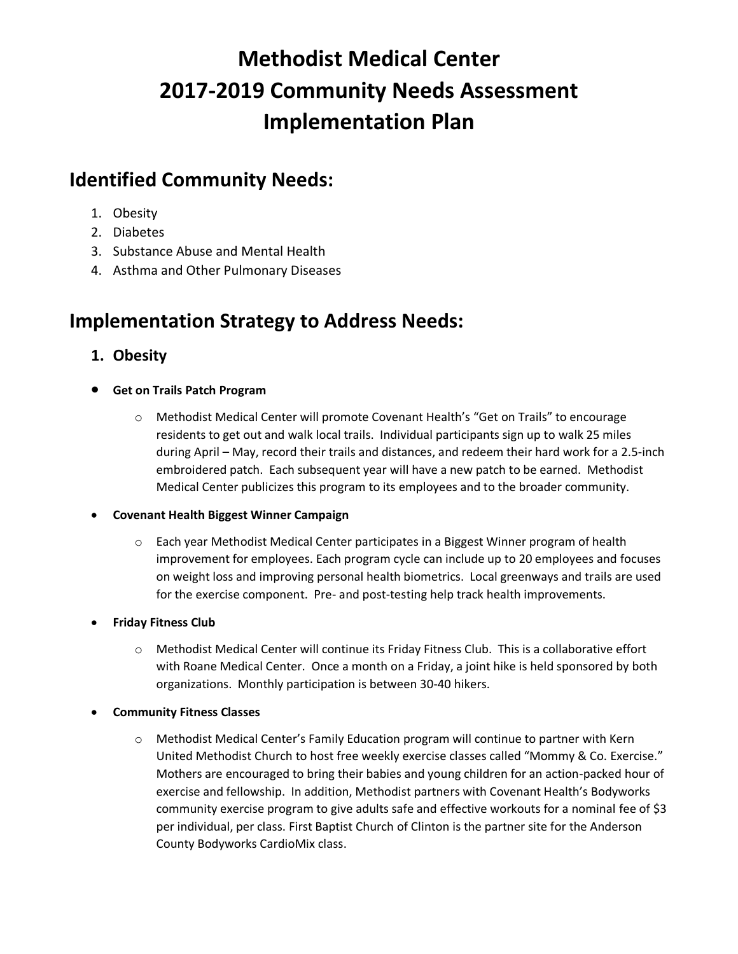# **Methodist Medical Center 2017-2019 Community Needs Assessment Implementation Plan**

## **Identified Community Needs:**

- 1. Obesity
- 2. Diabetes
- 3. Substance Abuse and Mental Health
- 4. Asthma and Other Pulmonary Diseases

## **Implementation Strategy to Address Needs:**

## **1. Obesity**

- **Get on Trails Patch Program**
	- o Methodist Medical Center will promote Covenant Health's "Get on Trails" to encourage residents to get out and walk local trails. Individual participants sign up to walk 25 miles during April – May, record their trails and distances, and redeem their hard work for a 2.5-inch embroidered patch. Each subsequent year will have a new patch to be earned. Methodist Medical Center publicizes this program to its employees and to the broader community.

## **Covenant Health Biggest Winner Campaign**

- o Each year Methodist Medical Center participates in a Biggest Winner program of health improvement for employees. Each program cycle can include up to 20 employees and focuses on weight loss and improving personal health biometrics. Local greenways and trails are used for the exercise component. Pre- and post-testing help track health improvements.
- **Friday Fitness Club**
	- o Methodist Medical Center will continue its Friday Fitness Club. This is a collaborative effort with Roane Medical Center. Once a month on a Friday, a joint hike is held sponsored by both organizations. Monthly participation is between 30-40 hikers.
- **Community Fitness Classes**
	- o Methodist Medical Center's Family Education program will continue to partner with Kern United Methodist Church to host free weekly exercise classes called "Mommy & Co. Exercise." Mothers are encouraged to bring their babies and young children for an action-packed hour of exercise and fellowship. In addition, Methodist partners with Covenant Health's Bodyworks community exercise program to give adults safe and effective workouts for a nominal fee of \$3 per individual, per class. First Baptist Church of Clinton is the partner site for the Anderson County Bodyworks CardioMix class.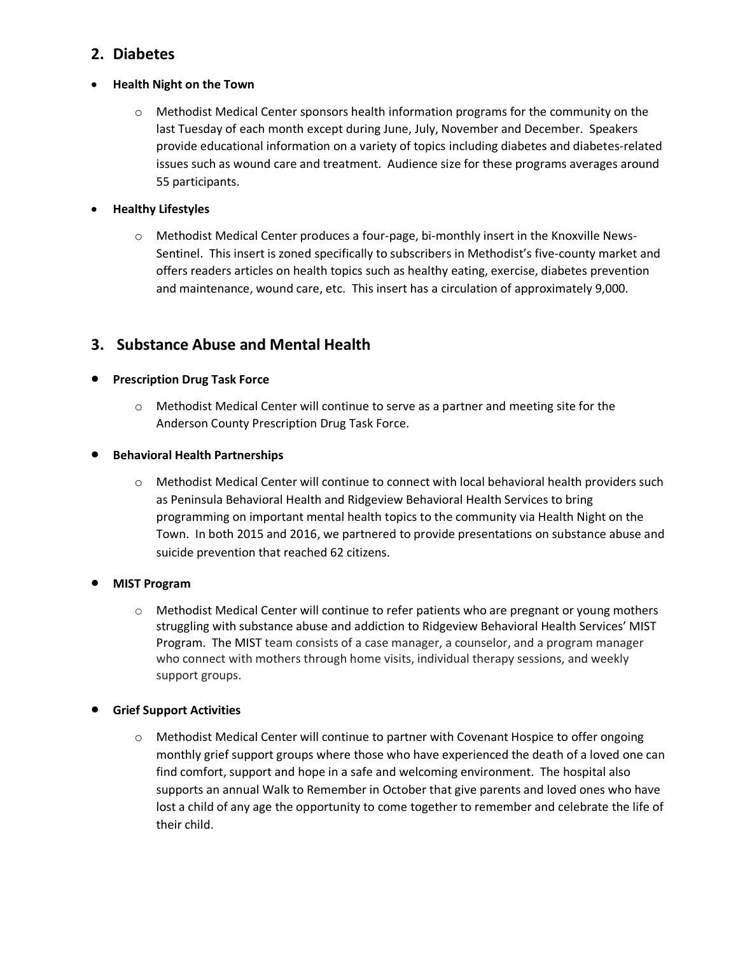## **2. Diabetes**

## **Health Night on the Town**

o Methodist Medical Center sponsors health information programs for the community on the last Tuesday of each month except during June, July, November and December. Speakers provide educational information on a variety of topics including diabetes and diabetes-related issues such as wound care and treatment. Audience size for these programs averages around 55 participants.

## **Healthy Lifestyles**

o Methodist Medical Center produces a four-page, bi-monthly insert in the Knoxville News-Sentinel. This insert is zoned specifically to subscribers in Methodist's five-county market and offers readers articles on health topics such as healthy eating, exercise, diabetes prevention and maintenance, wound care, etc. This insert has a circulation of approximately 9,000.

## **3. Substance Abuse and Mental Health**

## **•** Prescription Drug Task Force

o Methodist Medical Center will continue to serve as a partner and meeting site for the Anderson County Prescription Drug Task Force.

## **•** Behavioral Health Partnerships

o Methodist Medical Center will continue to connect with local behavioral health providers such as Peninsula Behavioral Health and Ridgeview Behavioral Health Services to bring programming on important mental health topics to the community via Health Night on the Town. In both 2015 and 2016, we partnered to provide presentations on substance abuse and suicide prevention that reached 62 citizens.

## **MIST Program**

 $\circ$  Methodist Medical Center will continue to refer patients who are pregnant or young mothers struggling with substance abuse and addiction to Ridgeview Behavioral Health Services' MIST Program. The MIST team consists of a case manager, a counselor, and a program manager who connect with mothers through home visits, individual therapy sessions, and weekly support groups.

## **Grief Support Activities**

o Methodist Medical Center will continue to partner with Covenant Hospice to offer ongoing monthly grief support groups where those who have experienced the death of a loved one can find comfort, support and hope in a safe and welcoming environment. The hospital also supports an annual Walk to Remember in October that give parents and loved ones who have lost a child of any age the opportunity to come together to remember and celebrate the life of their child.